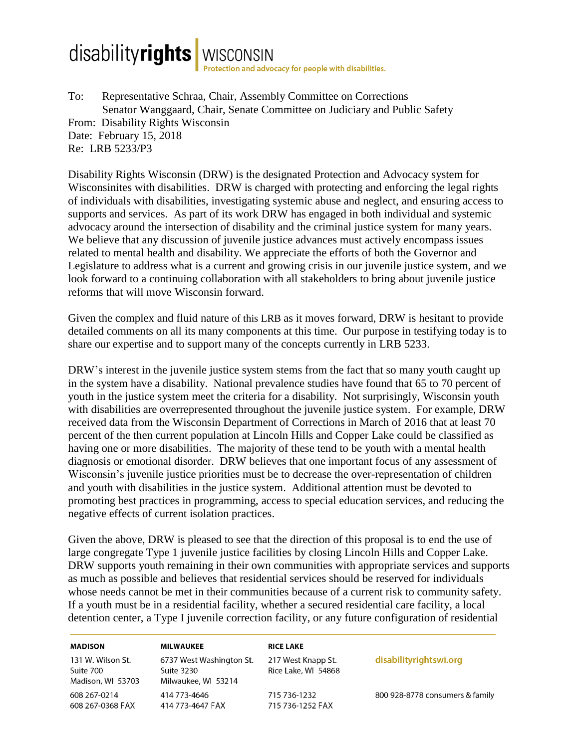## disabilityrights | WISCONSIN

To: Representative Schraa, Chair, Assembly Committee on Corrections Senator Wanggaard, Chair, Senate Committee on Judiciary and Public Safety From: Disability Rights Wisconsin Date: February 15, 2018 Re: LRB 5233/P3

Disability Rights Wisconsin (DRW) is the designated Protection and Advocacy system for Wisconsinites with disabilities. DRW is charged with protecting and enforcing the legal rights of individuals with disabilities, investigating systemic abuse and neglect, and ensuring access to supports and services. As part of its work DRW has engaged in both individual and systemic advocacy around the intersection of disability and the criminal justice system for many years. We believe that any discussion of juvenile justice advances must actively encompass issues related to mental health and disability. We appreciate the efforts of both the Governor and Legislature to address what is a current and growing crisis in our juvenile justice system, and we look forward to a continuing collaboration with all stakeholders to bring about juvenile justice reforms that will move Wisconsin forward.

Given the complex and fluid nature of this LRB as it moves forward, DRW is hesitant to provide detailed comments on all its many components at this time. Our purpose in testifying today is to share our expertise and to support many of the concepts currently in LRB 5233.

DRW's interest in the juvenile justice system stems from the fact that so many youth caught up in the system have a disability. National prevalence studies have found that 65 to 70 percent of youth in the justice system meet the criteria for a disability. Not surprisingly, Wisconsin youth with disabilities are overrepresented throughout the juvenile justice system. For example, DRW received data from the Wisconsin Department of Corrections in March of 2016 that at least 70 percent of the then current population at Lincoln Hills and Copper Lake could be classified as having one or more disabilities. The majority of these tend to be youth with a mental health diagnosis or emotional disorder. DRW believes that one important focus of any assessment of Wisconsin's juvenile justice priorities must be to decrease the over-representation of children and youth with disabilities in the justice system. Additional attention must be devoted to promoting best practices in programming, access to special education services, and reducing the negative effects of current isolation practices.

Given the above, DRW is pleased to see that the direction of this proposal is to end the use of large congregate Type 1 juvenile justice facilities by closing Lincoln Hills and Copper Lake. DRW supports youth remaining in their own communities with appropriate services and supports as much as possible and believes that residential services should be reserved for individuals whose needs cannot be met in their communities because of a current risk to community safety. If a youth must be in a residential facility, whether a secured residential care facility, a local detention center, a Type I juvenile correction facility, or any future configuration of residential

## **MADISON** 131 W. Wilson St. Suite 700 Madison, WI 53703 608 267-0214 608 267-0368 FAX

**MILWAUKEE** 6737 West Washington St. **Suite 3230** Milwaukee, WI 53214 414 773-4646 414 773-4647 FAX

## **RICE LAKE**

217 West Knapp St. Rice Lake, WI 54868

715 736-1232 715 736-1252 FAX

## disabilityrightswi.org

800 928-8778 consumers & family